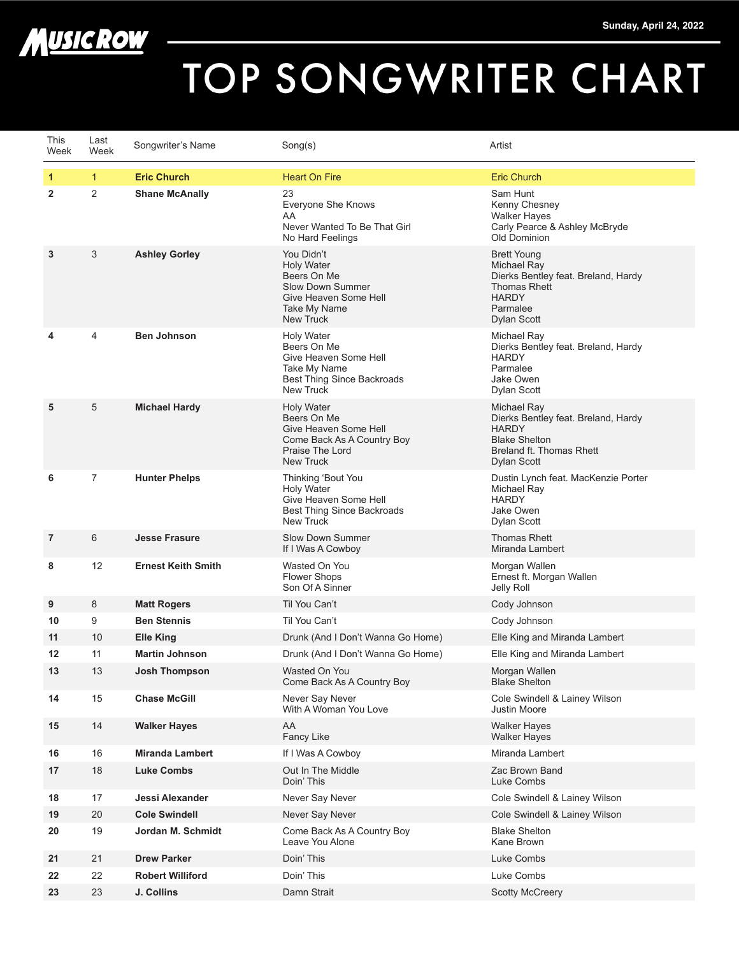



## TOP SONGWRITER CHART

| This<br>Week   | Last<br>Week | Songwriter's Name         | Song(s)                                                                                                                                | Artist                                                                                                                                     |
|----------------|--------------|---------------------------|----------------------------------------------------------------------------------------------------------------------------------------|--------------------------------------------------------------------------------------------------------------------------------------------|
| 1              | $\mathbf{1}$ | <b>Eric Church</b>        | <b>Heart On Fire</b>                                                                                                                   | <b>Eric Church</b>                                                                                                                         |
| $\overline{2}$ | 2            | <b>Shane McAnally</b>     | 23<br><b>Everyone She Knows</b><br>AA<br>Never Wanted To Be That Girl<br>No Hard Feelings                                              | Sam Hunt<br>Kenny Chesney<br><b>Walker Haves</b><br>Carly Pearce & Ashley McBryde<br>Old Dominion                                          |
| 3              | 3            | <b>Ashley Gorley</b>      | You Didn't<br><b>Holy Water</b><br>Beers On Me<br><b>Slow Down Summer</b><br>Give Heaven Some Hell<br>Take My Name<br><b>New Truck</b> | <b>Brett Young</b><br>Michael Ray<br>Dierks Bentley feat. Breland, Hardy<br><b>Thomas Rhett</b><br><b>HARDY</b><br>Parmalee<br>Dylan Scott |
| 4              | 4            | <b>Ben Johnson</b>        | <b>Holy Water</b><br>Beers On Me<br>Give Heaven Some Hell<br>Take My Name<br><b>Best Thing Since Backroads</b><br><b>New Truck</b>     | Michael Ray<br>Dierks Bentley feat. Breland, Hardy<br><b>HARDY</b><br>Parmalee<br>Jake Owen<br>Dylan Scott                                 |
| 5              | 5            | <b>Michael Hardy</b>      | <b>Holy Water</b><br>Beers On Me<br>Give Heaven Some Hell<br>Come Back As A Country Boy<br>Praise The Lord<br><b>New Truck</b>         | Michael Ray<br>Dierks Bentley feat. Breland, Hardy<br><b>HARDY</b><br><b>Blake Shelton</b><br>Breland ft. Thomas Rhett<br>Dylan Scott      |
| 6              | 7            | <b>Hunter Phelps</b>      | Thinking 'Bout You<br><b>Holy Water</b><br>Give Heaven Some Hell<br>Best Thing Since Backroads<br><b>New Truck</b>                     | Dustin Lynch feat. MacKenzie Porter<br>Michael Ray<br><b>HARDY</b><br>Jake Owen<br>Dylan Scott                                             |
| 7              | 6            | <b>Jesse Frasure</b>      | <b>Slow Down Summer</b><br>If I Was A Cowboy                                                                                           | <b>Thomas Rhett</b><br>Miranda Lambert                                                                                                     |
| 8              | 12           | <b>Ernest Keith Smith</b> | Wasted On You<br><b>Flower Shops</b><br>Son Of A Sinner                                                                                | Morgan Wallen<br>Ernest ft. Morgan Wallen<br>Jelly Roll                                                                                    |
| 9              | 8            | <b>Matt Rogers</b>        | Til You Can't                                                                                                                          | Cody Johnson                                                                                                                               |
| 10             | 9            | <b>Ben Stennis</b>        | Til You Can't                                                                                                                          | Cody Johnson                                                                                                                               |
| 11             | 10           | <b>Elle King</b>          | Drunk (And I Don't Wanna Go Home)                                                                                                      | Elle King and Miranda Lambert                                                                                                              |
| $12 \,$        | 11           | <b>Martin Johnson</b>     | Drunk (And I Don't Wanna Go Home)                                                                                                      | Elle King and Miranda Lambert                                                                                                              |
| 13             | 13           | Josh Thompson             | Wasted On You<br>Come Back As A Country Boy                                                                                            | Morgan Wallen<br><b>Blake Shelton</b>                                                                                                      |
| 14             | 15           | <b>Chase McGill</b>       | Never Say Never<br>With A Woman You Love                                                                                               | Cole Swindell & Lainey Wilson<br>Justin Moore                                                                                              |
| 15             | 14           | <b>Walker Hayes</b>       | AA<br>Fancy Like                                                                                                                       | <b>Walker Hayes</b><br><b>Walker Hayes</b>                                                                                                 |
| 16             | 16           | <b>Miranda Lambert</b>    | If I Was A Cowboy                                                                                                                      | Miranda Lambert                                                                                                                            |
| 17             | 18           | <b>Luke Combs</b>         | Out In The Middle<br>Doin' This                                                                                                        | Zac Brown Band<br>Luke Combs                                                                                                               |
| 18             | 17           | Jessi Alexander           | Never Say Never                                                                                                                        | Cole Swindell & Lainey Wilson                                                                                                              |
| 19             | 20           | <b>Cole Swindell</b>      | Never Say Never                                                                                                                        | Cole Swindell & Lainey Wilson                                                                                                              |
| 20             | 19           | Jordan M. Schmidt         | Come Back As A Country Boy<br>Leave You Alone                                                                                          | <b>Blake Shelton</b><br>Kane Brown                                                                                                         |
| 21             | 21           | <b>Drew Parker</b>        | Doin' This                                                                                                                             | Luke Combs                                                                                                                                 |
| 22             | 22           | <b>Robert Williford</b>   | Doin' This                                                                                                                             | Luke Combs                                                                                                                                 |
| 23             | 23           | J. Collins                | Damn Strait                                                                                                                            | <b>Scotty McCreery</b>                                                                                                                     |